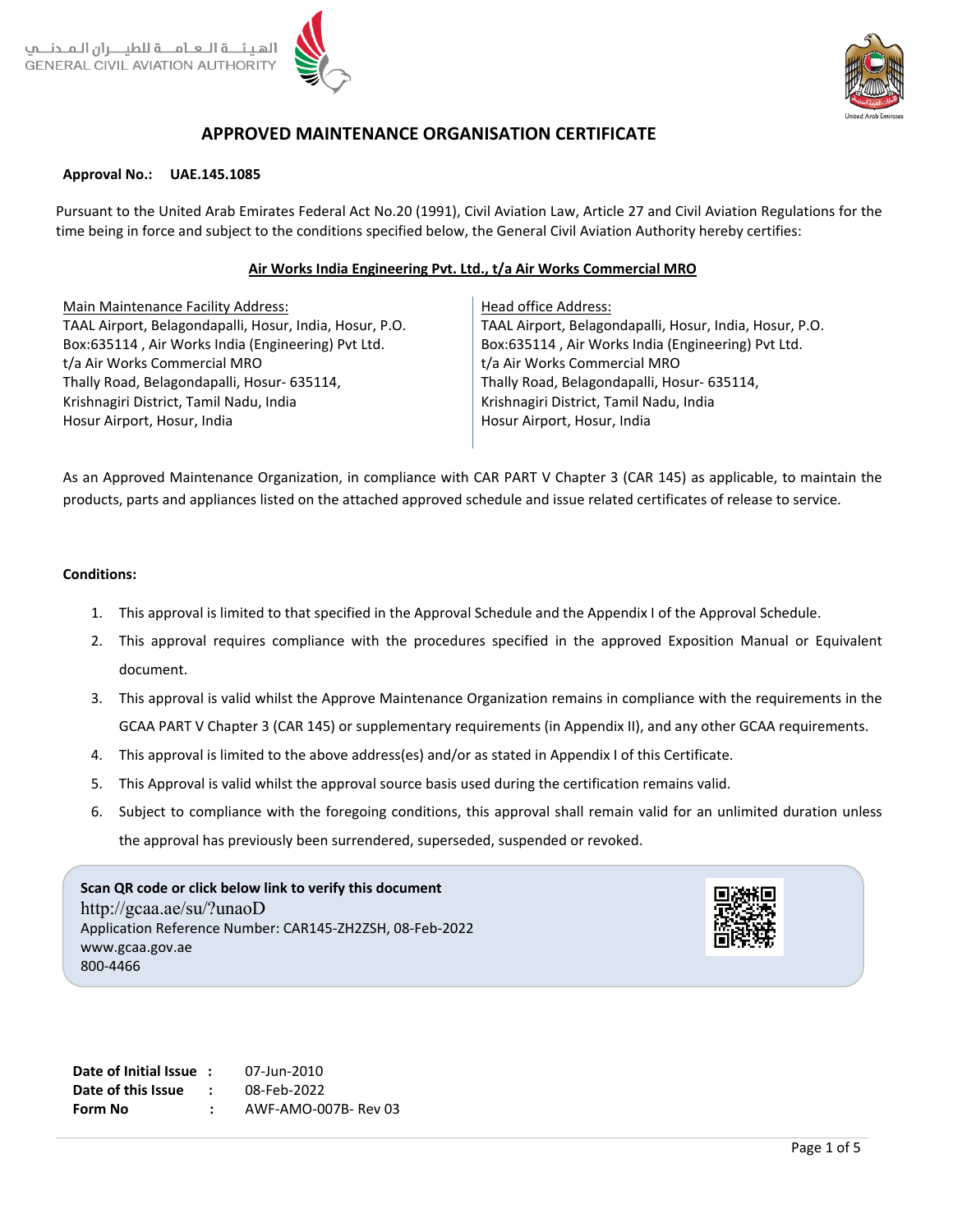

# **APPROVED MAINTENANCE ORGANISATION CERTIFICATE**

#### **Approval No.: UAE.145.1085**

Pursuant to the United Arab Emirates Federal Act No.20 (1991), Civil Aviation Law, Article 27 and Civil Aviation Regulations for the time being in force and subject to the conditions specified below, the General Civil Aviation Authority hereby certifies:

### **Air Works India Engineering Pvt. Ltd., t/a Air Works Commercial MRO**

Main Maintenance Facility Address: TAAL Airport, Belagondapalli, Hosur, India, Hosur, P.O. Box:635114 , Air Works India (Engineering) Pvt Ltd. t/a Air Works Commercial MRO Thally Road, Belagondapalli, Hosur- 635114, Krishnagiri District, Tamil Nadu, India Hosur Airport, Hosur, India

Head office Address: TAAL Airport, Belagondapalli, Hosur, India, Hosur, P.O. Box:635114 , Air Works India (Engineering) Pvt Ltd. t/a Air Works Commercial MRO Thally Road, Belagondapalli, Hosur- 635114, Krishnagiri District, Tamil Nadu, India Hosur Airport, Hosur, India

As an Approved Maintenance Organization, in compliance with CAR PART V Chapter 3 (CAR 145) as applicable, to maintain the products, parts and appliances listed on the attached approved schedule and issue related certificates of release to service.

#### **Conditions:**

- 1. This approval is limited to that specified in the Approval Schedule and the Appendix I of the Approval Schedule.
- 2. This approval requires compliance with the procedures specified in the approved Exposition Manual or Equivalent document.
- 3. This approval is valid whilst the Approve Maintenance Organization remains in compliance with the requirements in the GCAA PART V Chapter 3 (CAR 145) or supplementary requirements (in Appendix II), and any other GCAA requirements.
- 4. This approval is limited to the above address(es) and/or as stated in Appendix I of this Certificate.
- 5. This Approval is valid whilst the approval source basis used during the certification remains valid.
- 6. Subject to compliance with the foregoing conditions, this approval shall remain valid for an unlimited duration unless the approval has previously been surrendered, superseded, suspended or revoked.

**Scan QR code or click below link to verify this document** http://gcaa.ae/su/?unaoD Application Reference Number: CAR145-ZH2ZSH, 08-Feb-2022 www.gcaa.gov.ae 800-4466



**Date of Initial Issue :** 07-Jun-2010 **Date of this Issue :** 08-Feb-2022 **Form No :** AWF-AMO-007B- Rev 03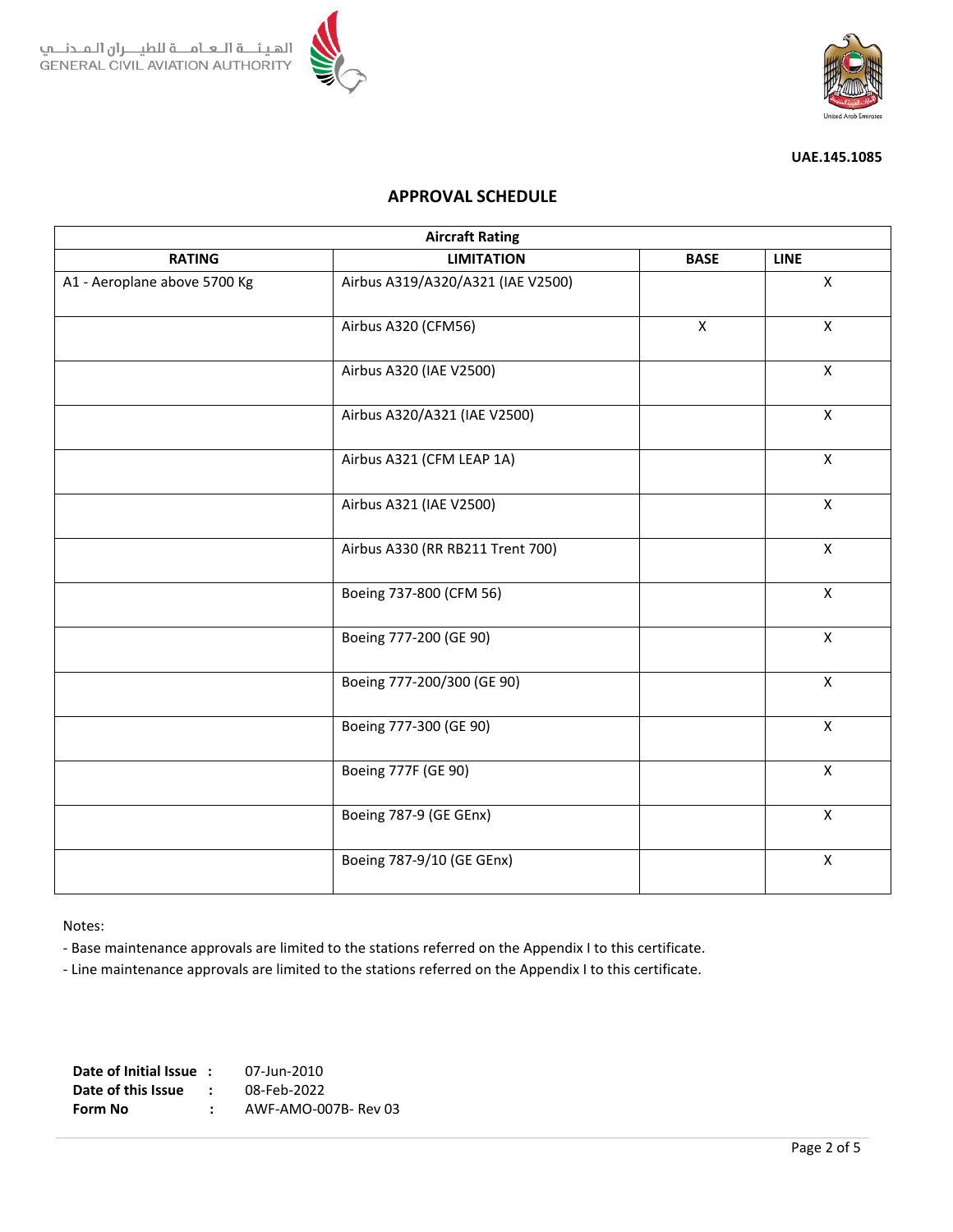



# **APPROVAL SCHEDULE**

| <b>Aircraft Rating</b>       |                                   |                |                |  |  |  |  |
|------------------------------|-----------------------------------|----------------|----------------|--|--|--|--|
| <b>RATING</b>                | <b>LIMITATION</b>                 | <b>LINE</b>    |                |  |  |  |  |
| A1 - Aeroplane above 5700 Kg | Airbus A319/A320/A321 (IAE V2500) | $\pmb{\times}$ |                |  |  |  |  |
|                              | Airbus A320 (CFM56)               | $\mathsf{X}$   | $\mathsf{X}$   |  |  |  |  |
|                              | Airbus A320 (IAE V2500)           |                | $\pmb{\times}$ |  |  |  |  |
|                              | Airbus A320/A321 (IAE V2500)      |                | $\mathsf{X}$   |  |  |  |  |
|                              | Airbus A321 (CFM LEAP 1A)         |                | $\pmb{\times}$ |  |  |  |  |
|                              | Airbus A321 (IAE V2500)           |                | X              |  |  |  |  |
|                              | Airbus A330 (RR RB211 Trent 700)  |                | X              |  |  |  |  |
|                              | Boeing 737-800 (CFM 56)           |                | $\mathsf{X}$   |  |  |  |  |
|                              | Boeing 777-200 (GE 90)            |                | $\mathsf{X}$   |  |  |  |  |
|                              | Boeing 777-200/300 (GE 90)        |                | $\mathsf{X}$   |  |  |  |  |
|                              | Boeing 777-300 (GE 90)            |                | $\mathsf{X}$   |  |  |  |  |
|                              | Boeing 777F (GE 90)               |                | $\mathsf{X}$   |  |  |  |  |
|                              | Boeing 787-9 (GE GEnx)            |                | $\pmb{\times}$ |  |  |  |  |
|                              | Boeing 787-9/10 (GE GEnx)         |                | $\pmb{\times}$ |  |  |  |  |

Notes:

- Base maintenance approvals are limited to the stations referred on the Appendix I to this certificate.

- Line maintenance approvals are limited to the stations referred on the Appendix I to this certificate.

**Date of Initial Issue :** 07-Jun-2010 **Date of this Issue :** 08-Feb-2022 **Form No :** AWF-AMO-007B- Rev 03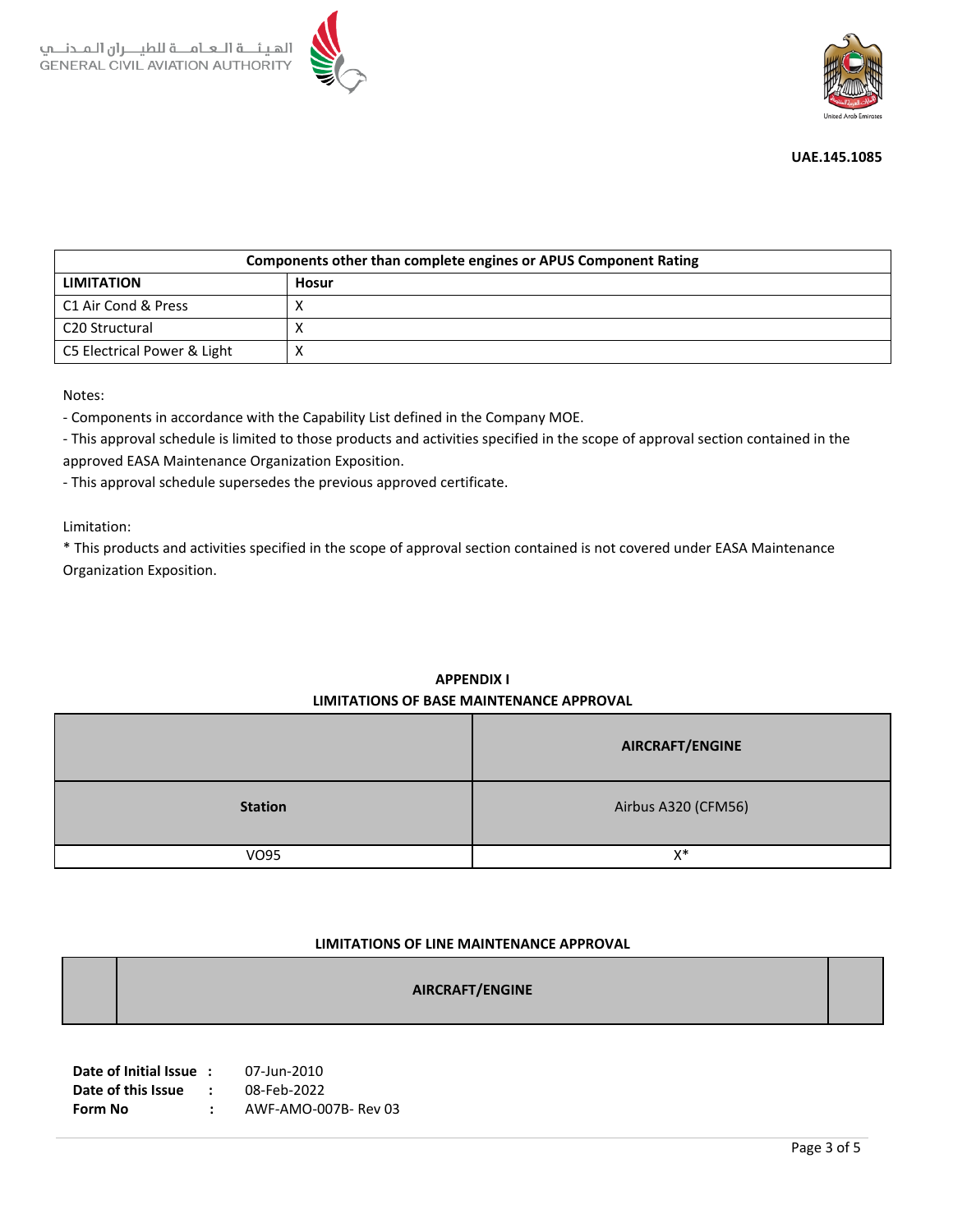



| Components other than complete engines or APUS Component Rating |       |  |  |  |
|-----------------------------------------------------------------|-------|--|--|--|
| <b>LIMITATION</b>                                               | Hosur |  |  |  |
| C1 Air Cond & Press                                             |       |  |  |  |
| C <sub>20</sub> Structural                                      |       |  |  |  |
| C5 Electrical Power & Light                                     |       |  |  |  |

Notes:

- Components in accordance with the Capability List defined in the Company MOE.

- This approval schedule is limited to those products and activities specified in the scope of approval section contained in the approved EASA Maintenance Organization Exposition.

- This approval schedule supersedes the previous approved certificate.

Limitation:

\* This products and activities specified in the scope of approval section contained is not covered under EASA Maintenance Organization Exposition.

|                | AIRCRAFT/ENGINE     |
|----------------|---------------------|
| <b>Station</b> | Airbus A320 (CFM56) |
| <b>VO95</b>    | X*                  |

# **APPENDIX I LIMITATIONS OF BASE MAINTENANCE APPROVAL**

## **LIMITATIONS OF LINE MAINTENANCE APPROVAL**

|--|

| Date of Initial Issue: |               | 07-Jun-2010          |
|------------------------|---------------|----------------------|
| Date of this Issue     | $\mathcal{L}$ | 08-Feb-2022          |
| Form No                |               | AWF-AMO-007B- Rev 03 |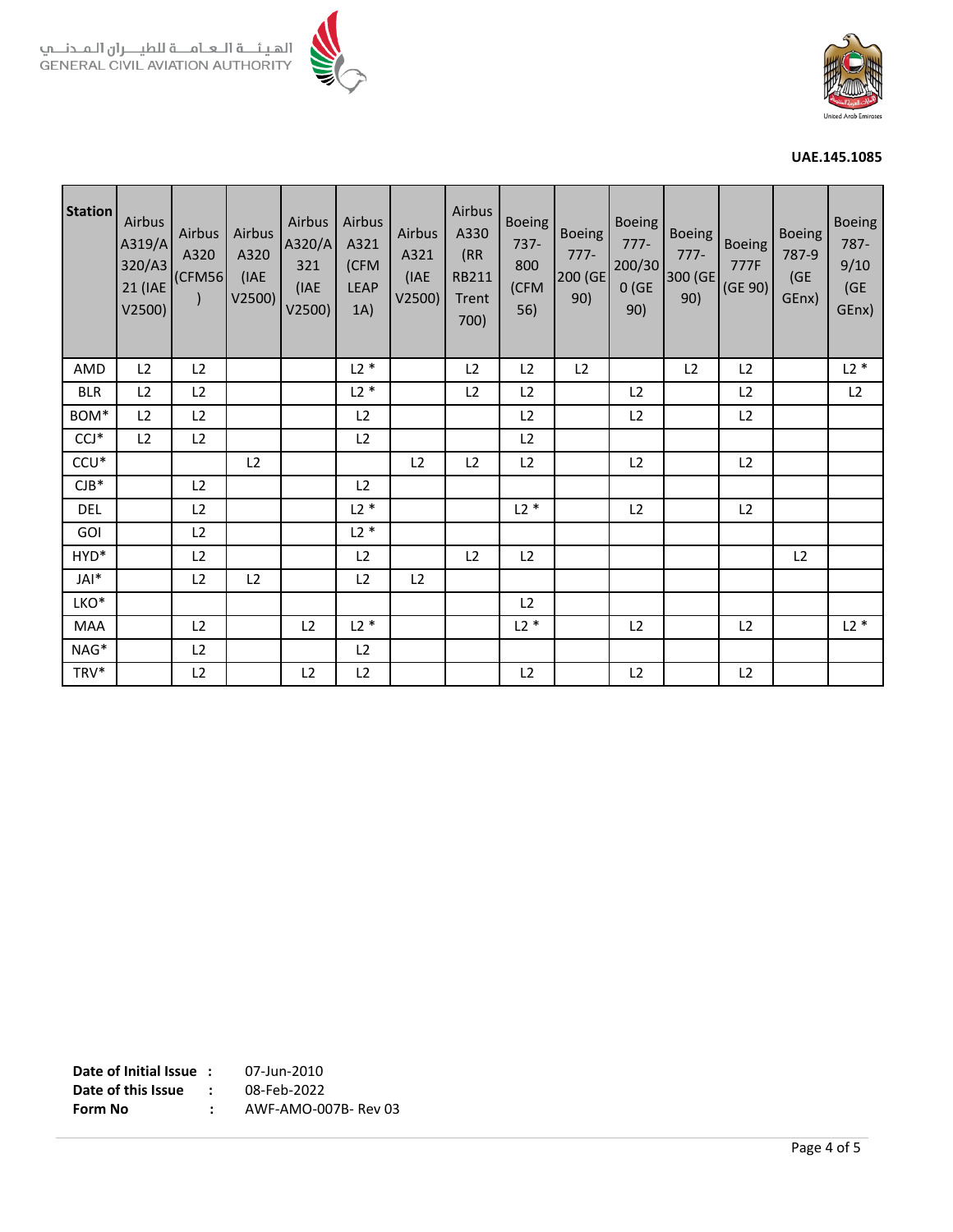



| <b>Station</b> | Airbus<br>A319/A<br>320/A3<br>21 (IAE<br>V2500) | Airbus<br>A320<br>(CFMS6)<br>$\lambda$ | Airbus<br>A320<br>(IAE<br>V2500) | Airbus<br>A320/A<br>321<br>(IAE<br>V2500) | Airbus<br>A321<br>(CFM<br><b>LEAP</b><br>1A) | Airbus<br>A321<br>(IAE<br>V2500) | Airbus<br>A330<br>(RR)<br>RB211<br>Trent<br>700) | <b>Boeing</b><br>$737 -$<br>800<br>(CFM<br>56) | Boeing<br>$777-$<br>200 (GE<br>90) | <b>Boeing</b><br>$777-$<br>200/30<br>0(GE)<br>90) | <b>Boeing</b><br>$777-$<br>300 (GE<br>90) | <b>Boeing</b><br>777F<br>(GE 90) | <b>Boeing</b><br>787-9<br>(GE<br>GEnx) | <b>Boeing</b><br>787-<br>9/10<br>(GE<br>GEnx) |
|----------------|-------------------------------------------------|----------------------------------------|----------------------------------|-------------------------------------------|----------------------------------------------|----------------------------------|--------------------------------------------------|------------------------------------------------|------------------------------------|---------------------------------------------------|-------------------------------------------|----------------------------------|----------------------------------------|-----------------------------------------------|
| AMD            | L2                                              | L2                                     |                                  |                                           | $L2*$                                        |                                  | L <sub>2</sub>                                   | L2                                             | L <sub>2</sub>                     |                                                   | L <sub>2</sub>                            | L <sub>2</sub>                   |                                        | $L2*$                                         |
| <b>BLR</b>     | L2                                              | L2                                     |                                  |                                           | $L2*$                                        |                                  | L2                                               | L <sub>2</sub>                                 |                                    | L2                                                |                                           | L2                               |                                        | L2                                            |
| BOM*           | L2                                              | L2                                     |                                  |                                           | L2                                           |                                  |                                                  | L2                                             |                                    | L2                                                |                                           | L2                               |                                        |                                               |
| $CCJ*$         | L2                                              | L2                                     |                                  |                                           | L <sub>2</sub>                               |                                  |                                                  | L2                                             |                                    |                                                   |                                           |                                  |                                        |                                               |
| $CCU*$         |                                                 |                                        | L <sub>2</sub>                   |                                           |                                              | L2                               | L <sub>2</sub>                                   | L2                                             |                                    | L2                                                |                                           | L2                               |                                        |                                               |
| $CJB*$         |                                                 | L2                                     |                                  |                                           | L2                                           |                                  |                                                  |                                                |                                    |                                                   |                                           |                                  |                                        |                                               |
| DEL            |                                                 | L2                                     |                                  |                                           | $L2*$                                        |                                  |                                                  | $L2*$                                          |                                    | L2                                                |                                           | L2                               |                                        |                                               |
| <b>GOI</b>     |                                                 | L2                                     |                                  |                                           | $L2*$                                        |                                  |                                                  |                                                |                                    |                                                   |                                           |                                  |                                        |                                               |
| HYD*           |                                                 | L2                                     |                                  |                                           | L2                                           |                                  | L <sub>2</sub>                                   | L2                                             |                                    |                                                   |                                           |                                  | L <sub>2</sub>                         |                                               |
| JAI*           |                                                 | L2                                     | L2                               |                                           | L2                                           | L2                               |                                                  |                                                |                                    |                                                   |                                           |                                  |                                        |                                               |
| LKO*           |                                                 |                                        |                                  |                                           |                                              |                                  |                                                  | L2                                             |                                    |                                                   |                                           |                                  |                                        |                                               |
| <b>MAA</b>     |                                                 | L2                                     |                                  | L2                                        | $L2*$                                        |                                  |                                                  | $L2*$                                          |                                    | L2                                                |                                           | L2                               |                                        | $L2*$                                         |
| NAG*           |                                                 | L2                                     |                                  |                                           | L2                                           |                                  |                                                  |                                                |                                    |                                                   |                                           |                                  |                                        |                                               |
| TRV*           |                                                 | L <sub>2</sub>                         |                                  | L2                                        | L2                                           |                                  |                                                  | L <sub>2</sub>                                 |                                    | L2                                                |                                           | L <sub>2</sub>                   |                                        |                                               |